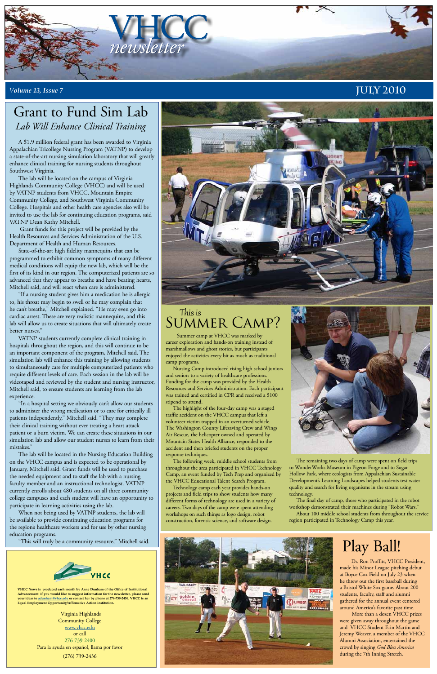

#### *<sup>V</sup>olume 13, Issue 7* **July 2010**

**VHCC News is produced each month by Anne Dunham of the Office of Institutional Advancement. If you would like to suggest information for the newsletter, please send your ideas to adunham@vhcc.edu or contact her by phone at 276-739-2456. VHCC is an Equal Employment Opportunity/Affirmative Action Institution.**

> Virginia Highlands Community College www.vhcc.edu or call 276-739-2400 Para la ayuda en español, llama por favor (276) 739-2436

A \$1.9 million federal grant has been awarded to Virginia Appalachian Tricollege Nursing Program (VATNP) to develop a state-of-the-art nursing simulation laboratory that will greatly enhance clinical training for nursing students throughout Southwest Virginia.

The lab will be located on the campus of Virginia Highlands Community College (VHCC) and will be used by VATNP students from VHCC, Mountain Empire Community College, and Southwest Virginia Community College. Hospitals and other health care agencies also will be invited to use the lab for continuing education programs, said VATNP Dean Kathy Mitchell.

 Grant funds for this project will be provided by the Health Resources and Services Administration of the U.S. Department of Health and Human Resources.

State-of-the-art high fidelity mannequins that can be programmed to exhibit common symptoms of many different medical conditions will equip the new lab, which will be the first of its kind in our region. The computerized patients are so advanced that they appear to breathe and have beating hearts, Mitchell said, and will react when care is administered.

"If a nursing student gives him a medication he is allergic to, his throat may begin to swell or he may complain that he can't breathe," Mitchell explained. "He may even go into cardiac arrest. These are very realistic mannequins, and this lab will allow us to create situations that will ultimately create better nurses."

### This is SUMMER CAMP?

VATNP students currently complete clinical training in hospitals throughout the region, and this will continue to be an important component of the program, Mitchell said. The simulation lab will enhance this training by allowing students to simultaneously care for multiple computerized patients who require different levels of care. Each session in the lab will be videotaped and reviewed by the student and nursing instructor, Mitchell said, to ensure students are learning from the lab experience.

"In a hospital setting we obviously can't allow our students to administer the wrong medication or to care for critically ill patients independently,'' Mitchell said. "They may complete their clinical training without ever treating a heart attack patient or a burn victim. We can create these situations in our simulation lab and allow our student nurses to learn from their mistakes."

The lab will be located in the Nursing Education Building on the VHCC campus and is expected to be operational by January, Mitchell said. Grant funds will be used to purchase the needed equipment and to staff the lab with a nursing faculty member and an instructional technologist. VATNP currently enrolls about 480 students on all three community



college campuses and each student will have an opportunity to participate in learning activities using the lab.

When not being used by VATNP students, the lab will be available to provide continuing education programs for the region's healthcare workers and for use by other nursing education programs.

"This will truly be a community resource," Mitchell said.



### Grant to Fund Sim Lab *Lab Will Enhance Clinical Training*

Dr. Ron Proffitt, VHCC President, made his Minor League pitching debut at Boyce Cox Field on July 23 when he threw out the first baseball during a Bristol White Sox game. About 200 students, faculty, staff and alumni gathered for the annual event centered around America's favorite past time.

More than a dozen VHCC prizes were given away throughout the game and VHCC Student Erin Martin and Jeremy Weaver, a member of the VHCC Alumni Association, entertained the crowd by singing *God Bless America* during the 7th Inning Stretch.

# Play Ball!

 Summer camp at VHCC was marked by career exploration and hands-on training instead of marshmallows and ghost stories, but participants enjoyed the activities every bit as much as traditional camp programs.

Nursing Camp introduced rising high school juniors and seniors to a variety of healthcare professions. Funding for the camp was provided by the Health Resources and Services Administration. Each participant was trained and certified in CPR and received a \$100 stipend to attend.

The highlight of the four-day camp was a staged traffic accident on the VHCC campus that left a volunteer victim trapped in an overturned vehicle. The Washington County Lifesaving Crew and Wings Air Rescue, the helicopter owned and operated by Mountain States Health Alliance, responded to the accident and then briefed students on the proper response techniques.

The following week, middle school students from throughout the area participated in VHCC Technology Camp, an event funded by Tech Prep and organized by the VHCC Educational Talent Search Program.

Technology camp each year provides hands-on iects and field trips to show students how many different forms of technology are used in a variety of careers. Two days of the camp were spent attending workshops on such things as logo design, robot construction, forensic science, and software design.



The remaining two days of camp were spent on field trips to WonderWorks Museum in Pigeon Forge and to Sugar Hollow Park, where ecologists from Appalachian Sustainable Development's Learning Landscapes helped students test water quality and search for living organisms in the stream using technology.

The final day of camp, those who participated in the robot workshop demonstrated their machines during "Robot Wars." About 100 middle school students from throughout the service region participated in Technology Camp this year.